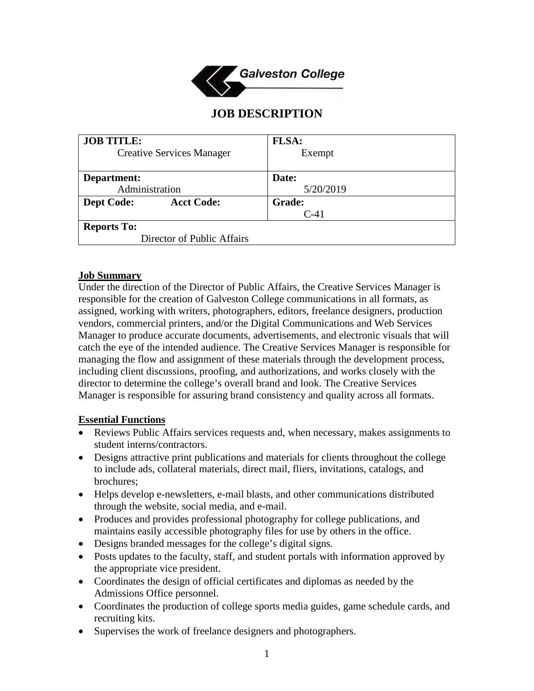

# **JOB DESCRIPTION**

| <b>JOB TITLE:</b>                      | <b>FLSA:</b>  |
|----------------------------------------|---------------|
| <b>Creative Services Manager</b>       | Exempt        |
|                                        |               |
| Department:                            | Date:         |
| Administration                         | 5/20/2019     |
| <b>Acct Code:</b><br><b>Dept Code:</b> | <b>Grade:</b> |
|                                        | $C-41$        |
| <b>Reports To:</b>                     |               |
| Director of Public Affairs             |               |

#### **Job Summary**

Under the direction of the Director of Public Affairs, the Creative Services Manager is responsible for the creation of Galveston College communications in all formats, as assigned, working with writers, photographers, editors, freelance designers, production vendors, commercial printers, and/or the Digital Communications and Web Services Manager to produce accurate documents, advertisements, and electronic visuals that will catch the eye of the intended audience. The Creative Services Manager is responsible for managing the flow and assignment of these materials through the development process, including client discussions, proofing, and authorizations, and works closely with the director to determine the college's overall brand and look. The Creative Services Manager is responsible for assuring brand consistency and quality across all formats.

#### **Essential Functions**

- Reviews Public Affairs services requests and, when necessary, makes assignments to student interns/contractors.
- Designs attractive print publications and materials for clients throughout the college to include ads, collateral materials, direct mail, fliers, invitations, catalogs, and brochures;
- Helps develop e-newsletters, e-mail blasts, and other communications distributed through the website, social media, and e-mail.
- Produces and provides professional photography for college publications, and maintains easily accessible photography files for use by others in the office.
- Designs branded messages for the college's digital signs.
- Posts updates to the faculty, staff, and student portals with information approved by the appropriate vice president.
- Coordinates the design of official certificates and diplomas as needed by the Admissions Office personnel.
- Coordinates the production of college sports media guides, game schedule cards, and recruiting kits.
- Supervises the work of freelance designers and photographers.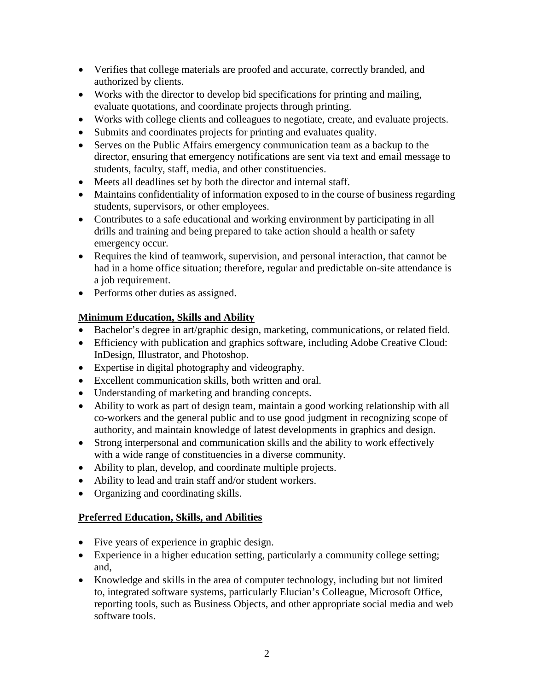- Verifies that college materials are proofed and accurate, correctly branded, and authorized by clients.
- Works with the director to develop bid specifications for printing and mailing, evaluate quotations, and coordinate projects through printing.
- Works with college clients and colleagues to negotiate, create, and evaluate projects.
- Submits and coordinates projects for printing and evaluates quality.
- Serves on the Public Affairs emergency communication team as a backup to the director, ensuring that emergency notifications are sent via text and email message to students, faculty, staff, media, and other constituencies.
- Meets all deadlines set by both the director and internal staff.
- Maintains confidentiality of information exposed to in the course of business regarding students, supervisors, or other employees.
- Contributes to a safe educational and working environment by participating in all drills and training and being prepared to take action should a health or safety emergency occur.
- Requires the kind of teamwork, supervision, and personal interaction, that cannot be had in a home office situation; therefore, regular and predictable on-site attendance is a job requirement.
- Performs other duties as assigned.

## **Minimum Education, Skills and Ability**

- Bachelor's degree in art/graphic design, marketing, communications, or related field.
- Efficiency with publication and graphics software, including Adobe Creative Cloud: InDesign, Illustrator, and Photoshop.
- Expertise in digital photography and videography.
- Excellent communication skills, both written and oral.
- Understanding of marketing and branding concepts.
- Ability to work as part of design team, maintain a good working relationship with all co-workers and the general public and to use good judgment in recognizing scope of authority, and maintain knowledge of latest developments in graphics and design.
- Strong interpersonal and communication skills and the ability to work effectively with a wide range of constituencies in a diverse community.
- Ability to plan, develop, and coordinate multiple projects.
- Ability to lead and train staff and/or student workers.
- Organizing and coordinating skills.

## **Preferred Education, Skills, and Abilities**

- Five years of experience in graphic design.
- Experience in a higher education setting, particularly a community college setting; and,
- Knowledge and skills in the area of computer technology, including but not limited to, integrated software systems, particularly Elucian's Colleague, Microsoft Office, reporting tools, such as Business Objects, and other appropriate social media and web software tools.